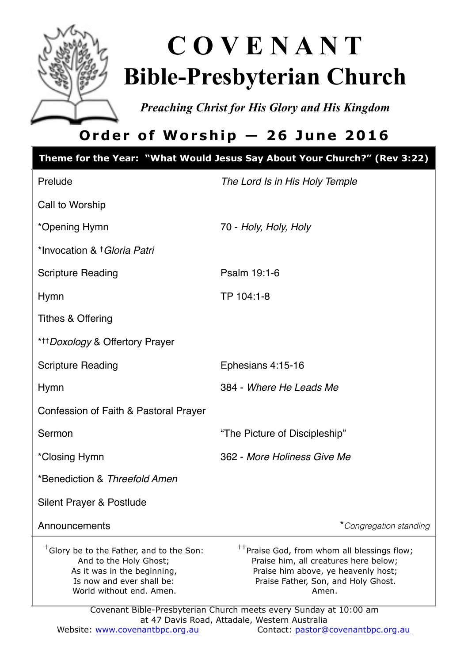

# **C O V E N A N T Bible-Presbyterian Church**

*Preaching Christ for His Glory and His Kingdom* 

# **Order of Worship — 26 June 2016**

|                                                                                                                                                                        | Theme for the Year: "What Would Jesus Say About Your Church?" (Rev 3:22)                                                                                                                                                                                     |
|------------------------------------------------------------------------------------------------------------------------------------------------------------------------|--------------------------------------------------------------------------------------------------------------------------------------------------------------------------------------------------------------------------------------------------------------|
| Prelude                                                                                                                                                                | The Lord Is in His Holy Temple                                                                                                                                                                                                                               |
| Call to Worship                                                                                                                                                        |                                                                                                                                                                                                                                                              |
| *Opening Hymn                                                                                                                                                          | 70 - Holy, Holy, Holy                                                                                                                                                                                                                                        |
| *Invocation & † Gloria Patri                                                                                                                                           |                                                                                                                                                                                                                                                              |
| <b>Scripture Reading</b>                                                                                                                                               | Psalm 19:1-6                                                                                                                                                                                                                                                 |
| Hymn                                                                                                                                                                   | TP 104:1-8                                                                                                                                                                                                                                                   |
| <b>Tithes &amp; Offering</b>                                                                                                                                           |                                                                                                                                                                                                                                                              |
| * <sup>++</sup> Doxology & Offertory Prayer                                                                                                                            |                                                                                                                                                                                                                                                              |
| <b>Scripture Reading</b>                                                                                                                                               | Ephesians 4:15-16                                                                                                                                                                                                                                            |
| Hymn                                                                                                                                                                   | 384 - Where He Leads Me                                                                                                                                                                                                                                      |
| Confession of Faith & Pastoral Prayer                                                                                                                                  |                                                                                                                                                                                                                                                              |
| Sermon                                                                                                                                                                 | "The Picture of Discipleship"                                                                                                                                                                                                                                |
| *Closing Hymn                                                                                                                                                          | 362 - More Holiness Give Me                                                                                                                                                                                                                                  |
| *Benediction & Threefold Amen                                                                                                                                          |                                                                                                                                                                                                                                                              |
| Silent Prayer & Postlude                                                                                                                                               |                                                                                                                                                                                                                                                              |
| Announcements                                                                                                                                                          | *Congregation standing                                                                                                                                                                                                                                       |
| <sup>†</sup> Glory be to the Father, and to the Son:<br>And to the Holy Ghost;<br>As it was in the beginning,<br>Is now and ever shall be:<br>World without end. Amen. | <sup>††</sup> Praise God, from whom all blessings flow;<br>Praise him, all creatures here below;<br>Praise him above, ye heavenly host;<br>Praise Father, Son, and Holy Ghost.<br>Amen.<br>Covenant Bible-Presbyterian Church meets every Sunday at 10:00 am |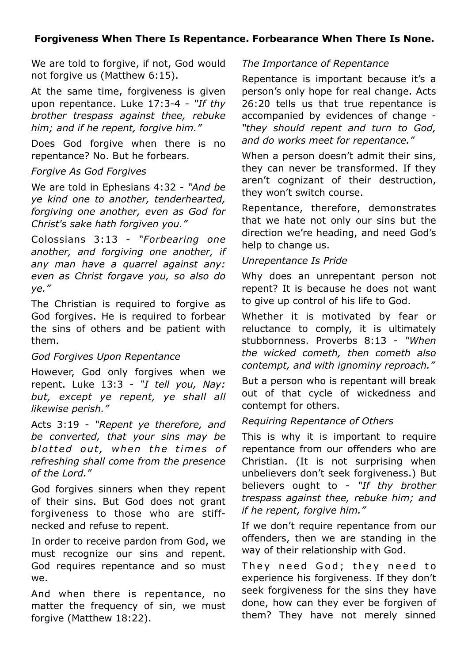#### **Forgiveness When There Is Repentance. Forbearance When There Is None.**

We are told to forgive, if not, God would not forgive us (Matthew 6:15).

At the same time, forgiveness is given upon repentance. Luke 17:3-4 - *"If thy brother trespass against thee, rebuke him; and if he repent, forgive him."*

Does God forgive when there is no repentance? No. But he forbears.

#### *Forgive As God Forgives*

We are told in Ephesians 4:32 - *"And be ye kind one to another, tenderhearted, forgiving one another, even as God for Christ's sake hath forgiven you."*

Colossians 3:13 - *"Forbearing one another, and forgiving one another, if any man have a quarrel against any: even as Christ forgave you, so also do ye."* 

The Christian is required to forgive as God forgives. He is required to forbear the sins of others and be patient with them.

#### *God Forgives Upon Repentance*

However, God only forgives when we repent. Luke 13:3 - *"I tell you, Nay: but, except ye repent, ye shall all likewise perish."*

Acts 3:19 - *"Repent ye therefore, and be converted, that your sins may be*  blotted out, when the times of *refreshing shall come from the presence of the Lord."*

God forgives sinners when they repent of their sins. But God does not grant forgiveness to those who are stiffnecked and refuse to repent.

In order to receive pardon from God, we must recognize our sins and repent. God requires repentance and so must we.

And when there is repentance, no matter the frequency of sin, we must forgive (Matthew 18:22).

#### *The Importance of Repentance*

Repentance is important because it's a person's only hope for real change. Acts 26:20 tells us that true repentance is accompanied by evidences of change - *"they should repent and turn to God, and do works meet for repentance."*

When a person doesn't admit their sins, they can never be transformed. If they aren't cognizant of their destruction, they won't switch course.

Repentance, therefore, demonstrates that we hate not only our sins but the direction we're heading, and need God's help to change us.

#### *Unrepentance Is Pride*

Why does an unrepentant person not repent? It is because he does not want to give up control of his life to God.

Whether it is motivated by fear or reluctance to comply, it is ultimately stubbornness. Proverbs 8:13 - *"When the wicked cometh, then cometh also contempt, and with ignominy reproach."*

But a person who is repentant will break out of that cycle of wickedness and contempt for others.

#### *Requiring Repentance of Others*

This is why it is important to require repentance from our offenders who are Christian. (It is not surprising when unbelievers don't seek forgiveness.) But believers ought to - *"If thy brother trespass against thee, rebuke him; and if he repent, forgive him."*

If we don't require repentance from our offenders, then we are standing in the way of their relationship with God.

They need God; they need to experience his forgiveness. If they don't seek forgiveness for the sins they have done, how can they ever be forgiven of them? They have not merely sinned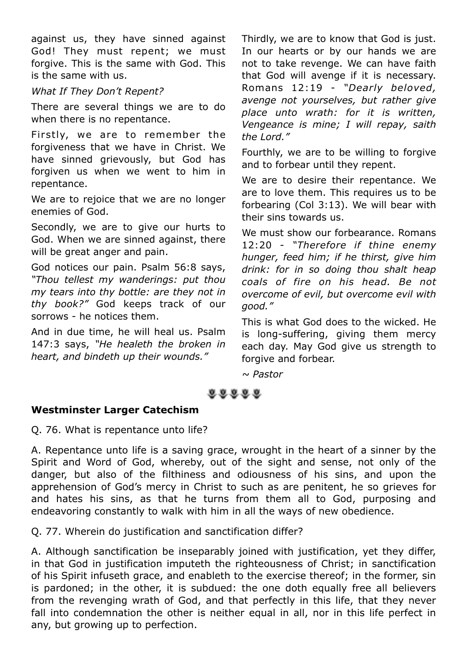against us, they have sinned against God! They must repent; we must forgive. This is the same with God. This is the same with us.

#### *What If They Don't Repent?*

There are several things we are to do when there is no repentance.

Firstly, we are to remember the forgiveness that we have in Christ. We have sinned grievously, but God has forgiven us when we went to him in repentance.

We are to rejoice that we are no longer enemies of God.

Secondly, we are to give our hurts to God. When we are sinned against, there will be great anger and pain.

God notices our pain. Psalm 56:8 says, *"Thou tellest my wanderings: put thou my tears into thy bottle: are they not in thy book?"* God keeps track of our sorrows - he notices them.

And in due time, he will heal us. Psalm 147:3 says, *"He healeth the broken in heart, and bindeth up their wounds."*

Thirdly, we are to know that God is just. In our hearts or by our hands we are not to take revenge. We can have faith that God will avenge if it is necessary. Romans 12:19 - *"Dearly beloved, avenge not yourselves, but rather give place unto wrath: for it is written, Vengeance is mine; I will repay, saith the Lord."*

Fourthly, we are to be willing to forgive and to forbear until they repent.

We are to desire their repentance. We are to love them. This requires us to be forbearing (Col 3:13). We will bear with their sins towards us.

We must show our forbearance. Romans 12:20 - *"Therefore if thine enemy hunger, feed him; if he thirst, give him drink: for in so doing thou shalt heap coals of fire on his head. Be not overcome of evil, but overcome evil with good."*

This is what God does to the wicked. He is long-suffering, giving them mercy each day. May God give us strength to forgive and forbear.

*~ Pastor*

#### 88888

#### **Westminster Larger Catechism**

Q. 76. What is repentance unto life?

A. Repentance unto life is a saving grace, wrought in the heart of a sinner by the Spirit and Word of God, whereby, out of the sight and sense, not only of the danger, but also of the filthiness and odiousness of his sins, and upon the apprehension of God's mercy in Christ to such as are penitent, he so grieves for and hates his sins, as that he turns from them all to God, purposing and endeavoring constantly to walk with him in all the ways of new obedience.

Q. 77. Wherein do justification and sanctification differ?

A. Although sanctification be inseparably joined with justification, yet they differ, in that God in justification imputeth the righteousness of Christ; in sanctification of his Spirit infuseth grace, and enableth to the exercise thereof; in the former, sin is pardoned; in the other, it is subdued: the one doth equally free all believers from the revenging wrath of God, and that perfectly in this life, that they never fall into condemnation the other is neither equal in all, nor in this life perfect in any, but growing up to perfection.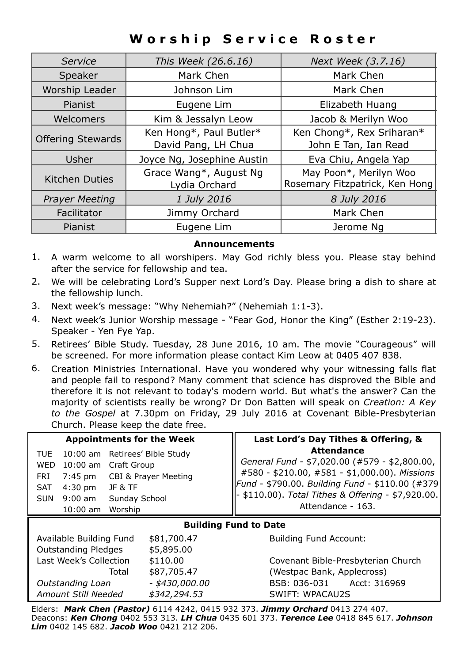## **Worship Service Roster**

| Service                  | This Week (26.6.16)                            | Next Week (3.7.16)                                       |
|--------------------------|------------------------------------------------|----------------------------------------------------------|
| Speaker                  | Mark Chen                                      | Mark Chen                                                |
| Worship Leader           | Johnson Lim                                    | Mark Chen                                                |
| Pianist                  | Eugene Lim                                     | Elizabeth Huang                                          |
| Welcomers                | Kim & Jessalyn Leow                            | Jacob & Merilyn Woo                                      |
| <b>Offering Stewards</b> | Ken Hong*, Paul Butler*<br>David Pang, LH Chua | Ken Chong*, Rex Sriharan*<br>John E Tan, Ian Read        |
| Usher                    | Joyce Ng, Josephine Austin                     | Eva Chiu, Angela Yap                                     |
| <b>Kitchen Duties</b>    | Grace Wang*, August Ng<br>Lydia Orchard        | May Poon*, Merilyn Woo<br>Rosemary Fitzpatrick, Ken Hong |
| <b>Prayer Meeting</b>    | 1 July 2016                                    | 8 July 2016                                              |
| Facilitator              | Jimmy Orchard                                  | Mark Chen                                                |
| Pianist                  | Eugene Lim                                     | Jerome Ng                                                |

#### **Announcements**

- 1. A warm welcome to all worshipers. May God richly bless you. Please stay behind after the service for fellowship and tea.
- 2. We will be celebrating Lord's Supper next Lord's Day. Please bring a dish to share at the fellowship lunch.
- 3. Next week's message: "Why Nehemiah?" (Nehemiah 1:1-3).
- 4. Next week's Junior Worship message "Fear God, Honor the King" (Esther 2:19-23). Speaker - Yen Fye Yap.
- 5. Retirees' Bible Study. Tuesday, 28 June 2016, 10 am. The movie "Courageous" will be screened. For more information please contact Kim Leow at 0405 407 838.
- 6. Creation Ministries International. Have you wondered why your witnessing falls flat and people fail to respond? Many comment that science has disproved the Bible and therefore it is not relevant to today's modern world. But what's the answer? Can the majority of scientists really be wrong? Dr Don Batten will speak on *Creation: A Key to the Gospel* at 7.30pm on Friday, 29 July 2016 at Covenant Bible-Presbyterian Church. Please keep the date free.

| <b>Appointments for the Week</b>                                                                                                                                                                             |                      | Last Lord's Day Tithes & Offering, &                                                                                                                                                                                                              |  |  |
|--------------------------------------------------------------------------------------------------------------------------------------------------------------------------------------------------------------|----------------------|---------------------------------------------------------------------------------------------------------------------------------------------------------------------------------------------------------------------------------------------------|--|--|
| TUE<br>10:00 am Retirees' Bible Study<br><b>WED</b><br>10:00 am Craft Group<br>7:45 pm<br>FRI<br>$4:30$ pm<br><b>JF &amp; TF</b><br><b>SAT</b><br>$9:00$ am<br>Sunday School<br>SUN<br>$10:00$ am<br>Worship | CBI & Prayer Meeting | <b>Attendance</b><br>General Fund - \$7,020.00 (#579 - \$2,800.00,<br>#580 - \$210.00, #581 - \$1,000.00). Missions<br>Fund - \$790.00. Building Fund - \$110.00 (#379<br>- \$110.00). Total Tithes & Offering - \$7,920.00.<br>Attendance - 163. |  |  |
| <b>Building Fund to Date</b>                                                                                                                                                                                 |                      |                                                                                                                                                                                                                                                   |  |  |
| Available Building Fund                                                                                                                                                                                      | \$81,700.47          | <b>Building Fund Account:</b>                                                                                                                                                                                                                     |  |  |
| <b>Outstanding Pledges</b>                                                                                                                                                                                   | \$5,895.00           |                                                                                                                                                                                                                                                   |  |  |
| Last Week's Collection                                                                                                                                                                                       | \$110.00             | Covenant Bible-Presbyterian Church                                                                                                                                                                                                                |  |  |
| Total                                                                                                                                                                                                        | \$87,705.47          | (Westpac Bank, Applecross)                                                                                                                                                                                                                        |  |  |
| Outstanding Loan                                                                                                                                                                                             | - \$430,000.00       | BSB: 036-031 Acct: 316969                                                                                                                                                                                                                         |  |  |
| Amount Still Needed                                                                                                                                                                                          | \$342,294.53         | SWIFT: WPACAU2S                                                                                                                                                                                                                                   |  |  |

Elders: *Mark Chen (Pastor)* 6114 4242, 0415 932 373. *Jimmy Orchard* 0413 274 407. Deacons: *Ken Chong* 0402 553 313. *LH Chua* 0435 601 373. *Terence Lee* 0418 845 617. *Johnson Lim* 0402 145 682. *Jacob Woo* 0421 212 206.